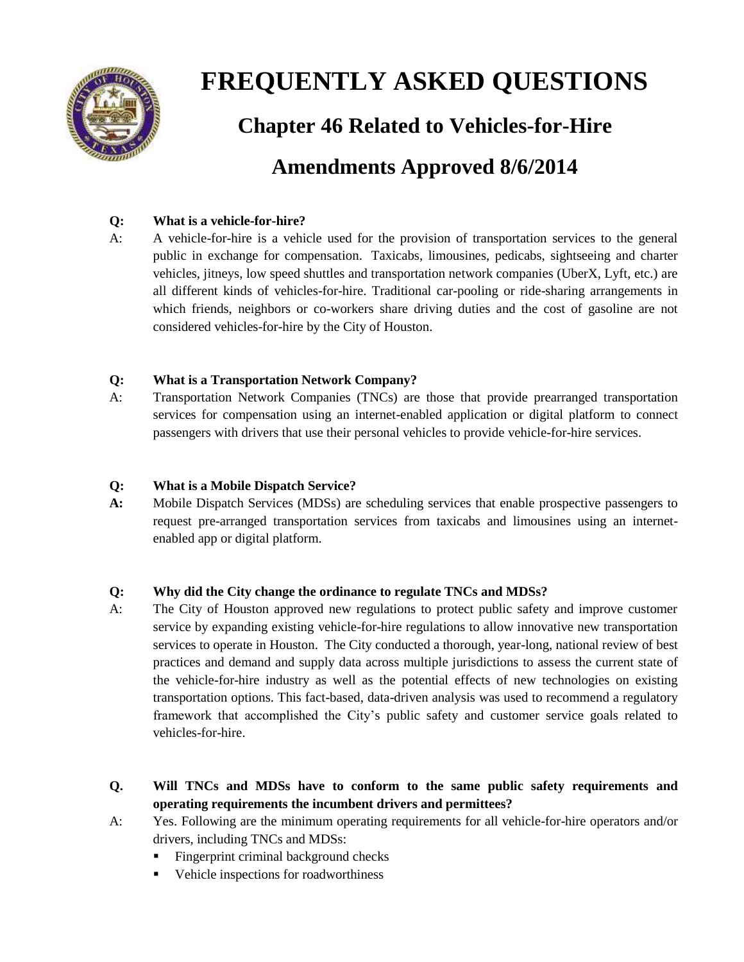

# **FREQUENTLY ASKED QUESTIONS**

**Chapter 46 Related to Vehicles-for-Hire**

# **Amendments Approved 8/6/2014**

# **Q: What is a vehicle-for-hire?**

A: A vehicle-for-hire is a vehicle used for the provision of transportation services to the general public in exchange for compensation. Taxicabs, limousines, pedicabs, sightseeing and charter vehicles, jitneys, low speed shuttles and transportation network companies (UberX, Lyft, etc.) are all different kinds of vehicles-for-hire. Traditional car-pooling or ride-sharing arrangements in which friends, neighbors or co-workers share driving duties and the cost of gasoline are not considered vehicles-for-hire by the City of Houston.

# **Q: What is a Transportation Network Company?**

A: Transportation Network Companies (TNCs) are those that provide prearranged transportation services for compensation using an internet-enabled application or digital platform to connect passengers with drivers that use their personal vehicles to provide vehicle-for-hire services.

# **Q: What is a Mobile Dispatch Service?**

**A:** Mobile Dispatch Services (MDSs) are scheduling services that enable prospective passengers to request pre-arranged transportation services from taxicabs and limousines using an internetenabled app or digital platform.

## **Q: Why did the City change the ordinance to regulate TNCs and MDSs?**

- A: The City of Houston approved new regulations to protect public safety and improve customer service by expanding existing vehicle-for-hire regulations to allow innovative new transportation services to operate in Houston. The City conducted a thorough, year-long, national review of best practices and demand and supply data across multiple jurisdictions to assess the current state of the vehicle-for-hire industry as well as the potential effects of new technologies on existing transportation options. This fact-based, data-driven analysis was used to recommend a regulatory framework that accomplished the City's public safety and customer service goals related to vehicles-for-hire.
- **Q. Will TNCs and MDSs have to conform to the same public safety requirements and operating requirements the incumbent drivers and permittees?**
- A: Yes. Following are the minimum operating requirements for all vehicle-for-hire operators and/or drivers, including TNCs and MDSs:
	- Fingerprint criminal background checks
	- Vehicle inspections for roadworthiness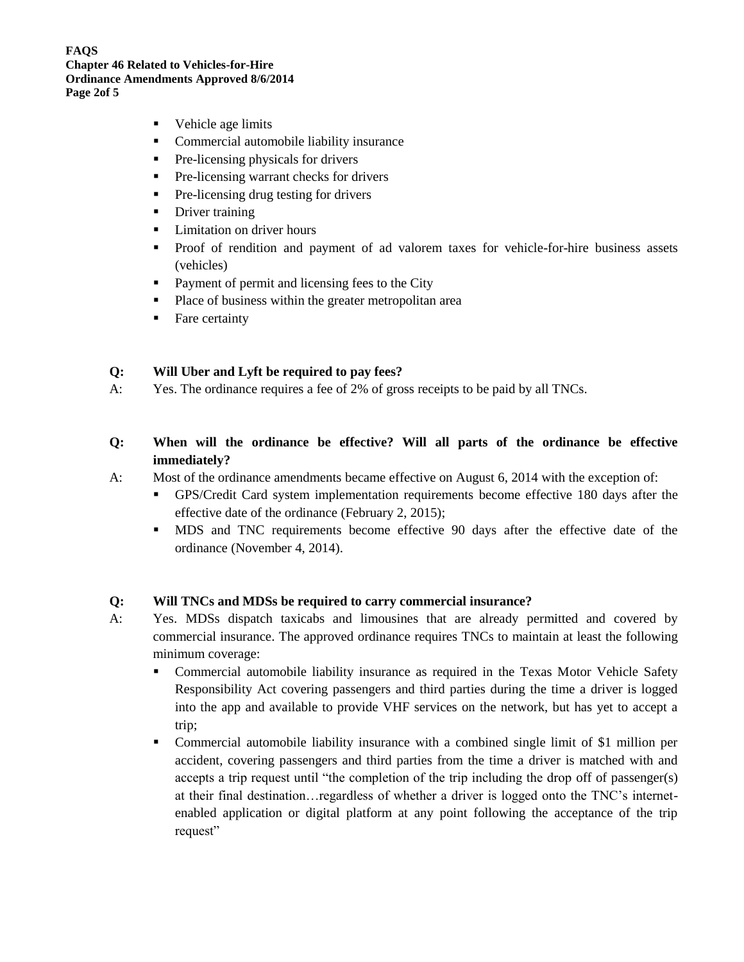**FAQS Chapter 46 Related to Vehicles-for-Hire Ordinance Amendments Approved 8/6/2014 Page 2of 5**

- Vehicle age limits
- **•** Commercial automobile liability insurance
- **Pre-licensing physicals for drivers**
- **Pre-licensing warrant checks for drivers**
- **Pre-licensing drug testing for drivers**
- Driver training
- **Limitation on driver hours**
- Proof of rendition and payment of ad valorem taxes for vehicle-for-hire business assets (vehicles)
- **Payment of permit and licensing fees to the City**
- Place of business within the greater metropolitan area
- Fare certainty

#### **Q: Will Uber and Lyft be required to pay fees?**

- A: Yes. The ordinance requires a fee of 2% of gross receipts to be paid by all TNCs.
- **Q: When will the ordinance be effective? Will all parts of the ordinance be effective immediately?**
- A: Most of the ordinance amendments became effective on August 6, 2014 with the exception of:
	- GPS/Credit Card system implementation requirements become effective 180 days after the effective date of the ordinance (February 2, 2015);
		- MDS and TNC requirements become effective 90 days after the effective date of the ordinance (November 4, 2014).

#### **Q: Will TNCs and MDSs be required to carry commercial insurance?**

- A: Yes. MDSs dispatch taxicabs and limousines that are already permitted and covered by commercial insurance. The approved ordinance requires TNCs to maintain at least the following minimum coverage:
	- Commercial automobile liability insurance as required in the Texas Motor Vehicle Safety Responsibility Act covering passengers and third parties during the time a driver is logged into the app and available to provide VHF services on the network, but has yet to accept a trip;
	- Commercial automobile liability insurance with a combined single limit of \$1 million per accident, covering passengers and third parties from the time a driver is matched with and accepts a trip request until "the completion of the trip including the drop off of passenger(s) at their final destination…regardless of whether a driver is logged onto the TNC's internetenabled application or digital platform at any point following the acceptance of the trip request"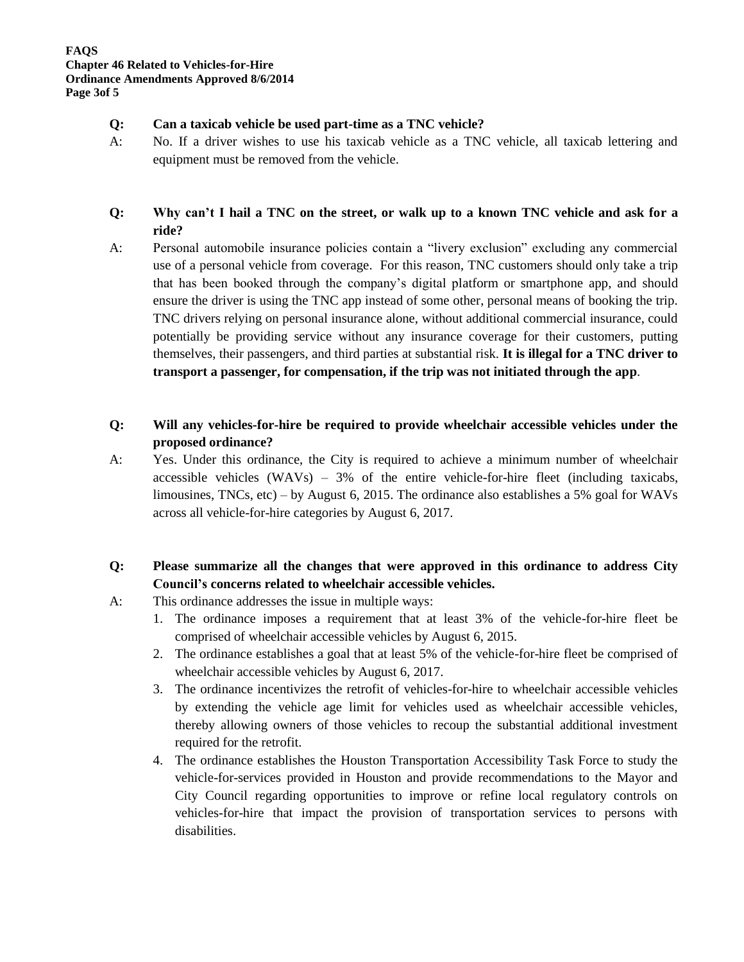#### **Q: Can a taxicab vehicle be used part-time as a TNC vehicle?**

A: No. If a driver wishes to use his taxicab vehicle as a TNC vehicle, all taxicab lettering and equipment must be removed from the vehicle.

# **Q: Why can't I hail a TNC on the street, or walk up to a known TNC vehicle and ask for a ride?**

A: Personal automobile insurance policies contain a "livery exclusion" excluding any commercial use of a personal vehicle from coverage. For this reason, TNC customers should only take a trip that has been booked through the company's digital platform or smartphone app, and should ensure the driver is using the TNC app instead of some other, personal means of booking the trip. TNC drivers relying on personal insurance alone, without additional commercial insurance, could potentially be providing service without any insurance coverage for their customers, putting themselves, their passengers, and third parties at substantial risk. **It is illegal for a TNC driver to transport a passenger, for compensation, if the trip was not initiated through the app**.

# **Q: Will any vehicles-for-hire be required to provide wheelchair accessible vehicles under the proposed ordinance?**

A: Yes. Under this ordinance, the City is required to achieve a minimum number of wheelchair accessible vehicles  $(WAVs) - 3%$  of the entire vehicle-for-hire fleet (including taxicabs, limousines, TNCs, etc) – by August 6, 2015. The ordinance also establishes a 5% goal for WAVs across all vehicle-for-hire categories by August 6, 2017.

# **Q: Please summarize all the changes that were approved in this ordinance to address City Council's concerns related to wheelchair accessible vehicles.**

- A: This ordinance addresses the issue in multiple ways:
	- 1. The ordinance imposes a requirement that at least 3% of the vehicle-for-hire fleet be comprised of wheelchair accessible vehicles by August 6, 2015.
	- 2. The ordinance establishes a goal that at least 5% of the vehicle-for-hire fleet be comprised of wheelchair accessible vehicles by August 6, 2017.
	- 3. The ordinance incentivizes the retrofit of vehicles-for-hire to wheelchair accessible vehicles by extending the vehicle age limit for vehicles used as wheelchair accessible vehicles, thereby allowing owners of those vehicles to recoup the substantial additional investment required for the retrofit.
	- 4. The ordinance establishes the Houston Transportation Accessibility Task Force to study the vehicle-for-services provided in Houston and provide recommendations to the Mayor and City Council regarding opportunities to improve or refine local regulatory controls on vehicles-for-hire that impact the provision of transportation services to persons with disabilities.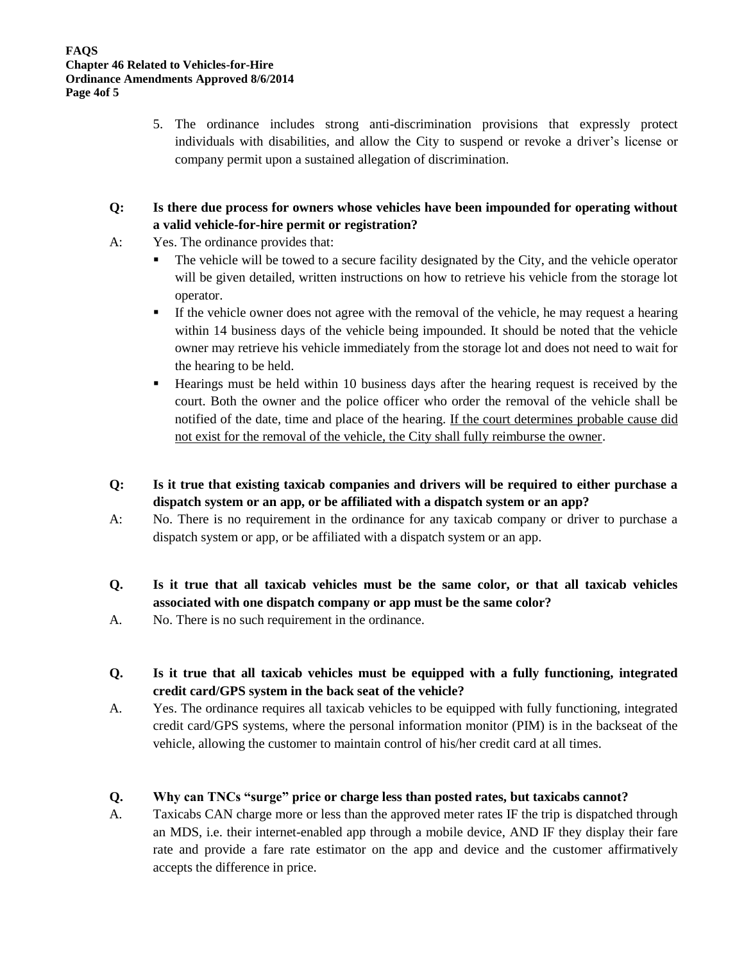5. The ordinance includes strong anti-discrimination provisions that expressly protect individuals with disabilities, and allow the City to suspend or revoke a driver's license or company permit upon a sustained allegation of discrimination.

# **Q: Is there due process for owners whose vehicles have been impounded for operating without a valid vehicle-for-hire permit or registration?**

- A: Yes. The ordinance provides that:
	- The vehicle will be towed to a secure facility designated by the City, and the vehicle operator will be given detailed, written instructions on how to retrieve his vehicle from the storage lot operator.
	- If the vehicle owner does not agree with the removal of the vehicle, he may request a hearing within 14 business days of the vehicle being impounded. It should be noted that the vehicle owner may retrieve his vehicle immediately from the storage lot and does not need to wait for the hearing to be held.
	- Hearings must be held within 10 business days after the hearing request is received by the court. Both the owner and the police officer who order the removal of the vehicle shall be notified of the date, time and place of the hearing. If the court determines probable cause did not exist for the removal of the vehicle, the City shall fully reimburse the owner.
- **Q: Is it true that existing taxicab companies and drivers will be required to either purchase a dispatch system or an app, or be affiliated with a dispatch system or an app?**
- A: No. There is no requirement in the ordinance for any taxicab company or driver to purchase a dispatch system or app, or be affiliated with a dispatch system or an app.
- **Q. Is it true that all taxicab vehicles must be the same color, or that all taxicab vehicles associated with one dispatch company or app must be the same color?**
- A. No. There is no such requirement in the ordinance.
- **Q. Is it true that all taxicab vehicles must be equipped with a fully functioning, integrated credit card/GPS system in the back seat of the vehicle?**
- A. Yes. The ordinance requires all taxicab vehicles to be equipped with fully functioning, integrated credit card/GPS systems, where the personal information monitor (PIM) is in the backseat of the vehicle, allowing the customer to maintain control of his/her credit card at all times.

## **Q. Why can TNCs "surge" price or charge less than posted rates, but taxicabs cannot?**

A. Taxicabs CAN charge more or less than the approved meter rates IF the trip is dispatched through an MDS, i.e. their internet-enabled app through a mobile device, AND IF they display their fare rate and provide a fare rate estimator on the app and device and the customer affirmatively accepts the difference in price.